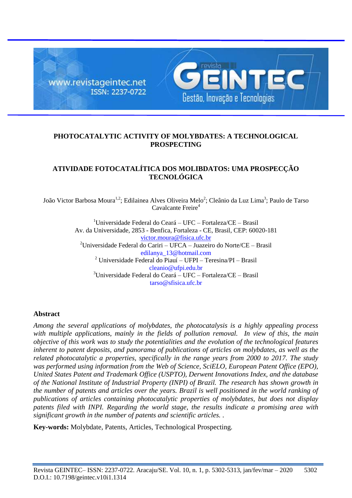

## **PHOTOCATALYTIC ACTIVITY OF MOLYBDATES: A TECHNOLOGICAL PROSPECTING**

## **ATIVIDADE FOTOCATALÍTICA DOS MOLIBDATOS: UMA PROSPECÇÃO TECNOLÓGICA**

João Victor Barbosa Moura<sup>1,2</sup>; Edilainea Alves Oliveira Melo<sup>2</sup>; Cleânio da Luz Lima<sup>3</sup>; Paulo de Tarso Cavalcante Freire<sup>4</sup>

> <sup>1</sup>Universidade Federal do Ceará – UFC – Fortaleza/CE – Brasil Av. da Universidade, 2853 - Benfica, Fortaleza - CE, Brasil, CEP: 60020-181 victor.moura@fisica.ufc.br <sup>2</sup>Universidade Federal do Cariri – UFCA – Juazeiro do Norte/CE – Brasil edilanya\_13@hotmail.com  $^{2}$  Universidade Federal do Piauí – UFPI – Teresina/PI – Brasil cleanio@ufpi.edu.br <sup>3</sup>Universidade Federal do Ceará – UFC – Fortaleza/CE – Brasil  $\arccos \theta$  sfisica ufc. br.

### **Abstract**

*Among the several applications of molybdates, the photocatalysis is a highly appealing process with multiple applications, mainly in the fields of pollution removal. In view of this, the main objective of this work was to study the potentialities and the evolution of the technological features inherent to patent deposits, and panorama of publications of articles on molybdates, as well as the related photocatalytic a properties, specifically in the range years from 2000 to 2017. The study was performed using information from the Web of Science, SciELO, European Patent Office (EPO), United States Patent and Trademark Office (USPTO), Derwent Innovations Index, and the database of the National Institute of Industrial Property (INPI) of Brazil. The research has shown growth in the number of patents and articles over the years. Brazil is well positioned in the world ranking of publications of articles containing photocatalytic properties of molybdates, but does not display patents filed with INPI. Regarding the world stage, the results indicate a promising area with significant growth in the number of patents and scientific articles. .*

**Key-words:** Molybdate, Patents, Articles, Technological Prospecting.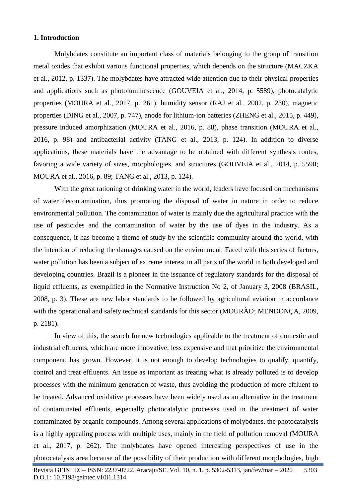## **1. Introduction**

Molybdates constitute an important class of materials belonging to the group of transition metal oxides that exhibit various functional properties, which depends on the structure (MACZKA et al., 2012, p. 1337). The molybdates have attracted wide attention due to their physical properties and applications such as photoluminescence (GOUVEIA et al., 2014, p. 5589), photocatalytic properties (MOURA et al., 2017, p. 261), humidity sensor (RAJ et al., 2002, p. 230), magnetic properties (DING et al., 2007, p. 747), anode for lithium-ion batteries (ZHENG et al., 2015, p. 449), pressure induced amorphization (MOURA et al., 2016, p. 88), phase transition (MOURA et al*.*, 2016, p. 98) and antibacterial activity (TANG et al., 2013, p. 124). In addition to diverse applications, these materials have the advantage to be obtained with different synthesis routes, favoring a wide variety of sizes, morphologies, and structures (GOUVEIA et al., 2014, p. 5590; MOURA et al., 2016, p. 89; TANG et al., 2013, p. 124).

With the great rationing of drinking water in the world, leaders have focused on mechanisms of water decontamination, thus promoting the disposal of water in nature in order to reduce environmental pollution. The contamination of water is mainly due the agricultural practice with the use of pesticides and the contamination of water by the use of dyes in the industry. As a consequence, it has become a theme of study by the scientific community around the world, with the intention of reducing the damages caused on the environment. Faced with this series of factors, water pollution has been a subject of extreme interest in all parts of the world in both developed and developing countries. Brazil is a pioneer in the issuance of regulatory standards for the disposal of liquid effluents, as exemplified in the Normative Instruction No 2, of January 3, 2008 (BRASIL, 2008, p. 3). These are new labor standards to be followed by agricultural aviation in accordance with the operational and safety technical standards for this sector (MOURÃO; MENDONÇA, 2009, p. 2181).

In view of this, the search for new technologies applicable to the treatment of domestic and industrial effluents, which are more innovative, less expensive and that prioritize the environmental component, has grown. However, it is not enough to develop technologies to qualify, quantify, control and treat effluents. An issue as important as treating what is already polluted is to develop processes with the minimum generation of waste, thus avoiding the production of more effluent to be treated. Advanced oxidative processes have been widely used as an alternative in the treatment of contaminated effluents, especially photocatalytic processes used in the treatment of water contaminated by organic compounds. Among several applications of molybdates, the photocatalysis is a highly appealing process with multiple uses, mainly in the field of pollution removal (MOURA et al., 2017, p. 262). The molybdates have opened interesting perspectives of use in the photocatalysis area because of the possibility of their production with different morphologies, high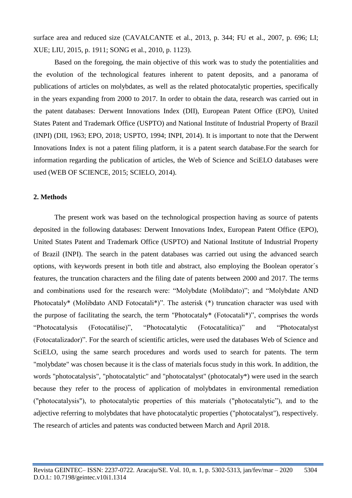surface area and reduced size (CAVALCANTE et al., 2013, p. 344; FU et al., 2007, p. 696; LI; XUE; LIU, 2015, p. 1911; SONG et al., 2010, p. 1123).

Based on the foregoing, the main objective of this work was to study the potentialities and the evolution of the technological features inherent to patent deposits, and a panorama of publications of articles on molybdates, as well as the related photocatalytic properties, specifically in the years expanding from 2000 to 2017. In order to obtain the data, research was carried out in the patent databases: Derwent Innovations Index (DII), European Patent Office (EPO), United States Patent and Trademark Office (USPTO) and National Institute of Industrial Property of Brazil (INPI) (DII, 1963; EPO, 2018; USPTO, 1994; INPI, 2014). It is important to note that the Derwent Innovations Index is not a patent filing platform, it is a patent search database.For the search for information regarding the publication of articles, the Web of Science and SciELO databases were used (WEB OF SCIENCE, 2015; SCIELO, 2014).

## **2. Methods**

The present work was based on the technological prospection having as source of patents deposited in the following databases: Derwent Innovations Index, European Patent Office (EPO), United States Patent and Trademark Office (USPTO) and National Institute of Industrial Property of Brazil (INPI). The search in the patent databases was carried out using the advanced search options, with keywords present in both title and abstract, also employing the Boolean operator´s features, the truncation characters and the filing date of patents between 2000 and 2017. The terms and combinations used for the research were: "Molybdate (Molibdato)"; and "Molybdate AND Photocataly\* (Molibdato AND Fotocatali\*)". The asterisk (\*) truncation character was used with the purpose of facilitating the search, the term "Photocataly\* (Fotocatali\*)", comprises the words "Photocatalysis (Fotocatálise)", "Photocatalytic (Fotocatalítica)" and "Photocatalyst (Fotocatalizador)". For the search of scientific articles, were used the databases Web of Science and SciELO, using the same search procedures and words used to search for patents. The term "molybdate" was chosen because it is the class of materials focus study in this work. In addition, the words "photocatalysis", "photocatalytic" and "photocatalyst" (photocataly\*) were used in the search because they refer to the process of application of molybdates in environmental remediation ("photocatalysis"), to photocatalytic properties of this materials ("photocatalytic"), and to the adjective referring to molybdates that have photocatalytic properties ("photocatalyst"), respectively. The research of articles and patents was conducted between March and April 2018.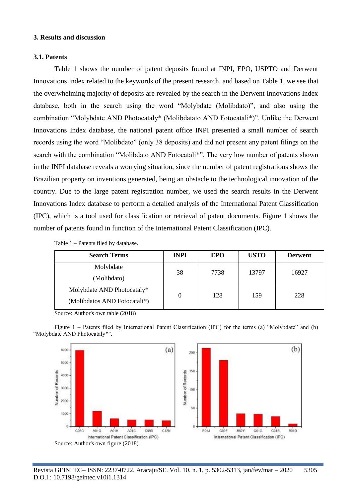#### **3. Results and discussion**

## **3.1. Patents**

Table 1 shows the number of patent deposits found at INPI, EPO, USPTO and Derwent Innovations Index related to the keywords of the present research, and based on Table 1, we see that the overwhelming majority of deposits are revealed by the search in the Derwent Innovations Index database, both in the search using the word "Molybdate (Molibdato)", and also using the combination "Molybdate AND Photocataly\* (Molibdatato AND Fotocatali\*)". Unlike the Derwent Innovations Index database, the national patent office INPI presented a small number of search records using the word "Molibdato" (only 38 deposits) and did not present any patent filings on the search with the combination "Molibdato AND Fotocatali\*". The very low number of patents shown in the INPI database reveals a worrying situation, since the number of patent registrations shows the Brazilian property on inventions generated, being an obstacle to the technological innovation of the country. Due to the large patent registration number, we used the search results in the Derwent Innovations Index database to perform a detailed analysis of the International Patent Classification (IPC), which is a tool used for classification or retrieval of patent documents. Figure 1 shows the number of patents found in function of the International Patent Classification (IPC).

| <b>Search Terms</b>                                        | <b>INPI</b> | <b>EPO</b> | <b>USTO</b> | <b>Derwent</b> |
|------------------------------------------------------------|-------------|------------|-------------|----------------|
| Molybdate<br>(Molibdato)                                   | 38          | 7738       | 13797       | 16927          |
| Molybdate AND Photocataly*<br>(Molibdatos AND Fotocatali*) |             | 128        | 159         | 228            |

| Table 1 – Patents filed by database. |
|--------------------------------------|
|--------------------------------------|

Source: Author's own table (2018)

Figure 1 – Patents filed by International Patent Classification (IPC) for the terms (a) "Molybdate" and (b) "Molybdate AND Photocataly\*".

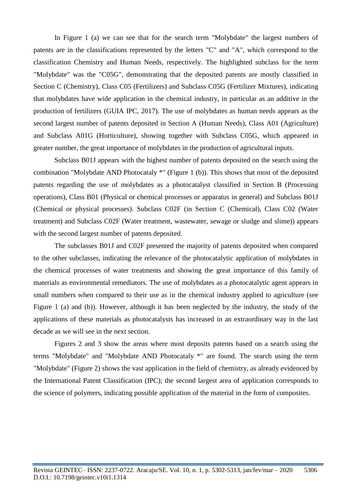In Figure 1 (a) we can see that for the search term "Molybdate" the largest numbers of patents are in the classifications represented by the letters "C" and "A", which correspond to the classification Chemistry and Human Needs, respectively. The highlighted subclass for the term "Molybdate" was the "C05G", demonstrating that the deposited patents are mostly classified in Section C (Chemistry), Class C05 (Fertilizers) and Subclass C05G (Fertilizer Mixtures), indicating that molybdates have wide application in the chemical industry, in particular as an additive in the production of fertilizers (GUIA IPC, 2017). The use of molybdates as human needs appears as the second largest number of patents deposited in Section A (Human Needs), Class A01 (Agriculture) and Subclass A01G (Horticulture), showing together with Subclass C05G, which appeared in greater number, the great importance of molybdates in the production of agricultural inputs.

Subclass B01J appears with the highest number of patents deposited on the search using the combination "Molybdate AND Photocataly \*" (Figure 1 (b)). This shows that most of the deposited patents regarding the use of molybdates as a photocatalyst classified in Section B (Processing operations), Class B01 (Physical or chemical processes or apparatus in general) and Subclass B01J (Chemical or physical processes). Subclass C02F (in Section C (Chemical), Class C02 (Water treatment) and Subclass C02F (Water treatment, wastewater, sewage or sludge and slime)) appears with the second largest number of patents deposited.

The subclasses B01J and C02F presented the majority of patents deposited when compared to the other subclasses, indicating the relevance of the photocatalytic application of molybdates in the chemical processes of water treatments and showing the great importance of this family of materials as environmental remediators. The use of molybdates as a photocatalytic agent appears in small numbers when compared to their use as in the chemical industry applied to agriculture (see Figure 1 (a) and (b)). However, although it has been neglected by the industry, the study of the applications of these materials as photocatalysts has increased in an extraordinary way in the last decade as we will see in the next section.

Figures 2 and 3 show the areas where most deposits patents based on a search using the terms "Molybdate" and "Molybdate AND Photocataly \*" are found. The search using the term "Molybdate" (Figure 2) shows the vast application in the field of chemistry, as already evidenced by the International Patent Classification (IPC); the second largest area of application corresponds to the science of polymers, indicating possible application of the material in the form of composites.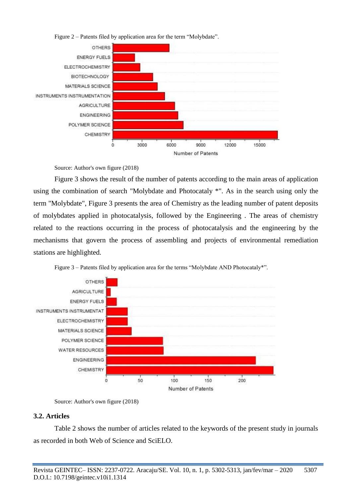

Figure 2 – Patents filed by application area for the term "Molybdate".

Source: Author's own figure (2018)

Figure 3 shows the result of the number of patents according to the main areas of application using the combination of search "Molybdate and Photocataly \*". As in the search using only the term "Molybdate", Figure 3 presents the area of Chemistry as the leading number of patent deposits of molybdates applied in photocatalysis, followed by the Engineering . The areas of chemistry related to the reactions occurring in the process of photocatalysis and the engineering by the mechanisms that govern the process of assembling and projects of environmental remediation stations are highlighted.



Figure 3 – Patents filed by application area for the terms "Molybdate AND Photocataly\*".

# **3.2. Articles**

Table 2 shows the number of articles related to the keywords of the present study in journals as recorded in both Web of Science and SciELO.

Source: Author's own figure (2018)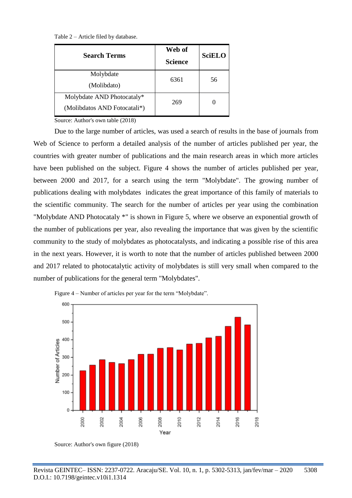Table 2 – Article filed by database.

| <b>Search Terms</b>                                        | Web of<br><b>Science</b> | <b>SciELO</b>     |
|------------------------------------------------------------|--------------------------|-------------------|
| Molybdate<br>(Molibdato)                                   | 6361                     | 56                |
| Molybdate AND Photocataly*<br>(Molibdatos AND Fotocatali*) | 269                      | $\mathbf{\Omega}$ |

Source: Author's own table (2018)

Due to the large number of articles, was used a search of results in the base of journals from Web of Science to perform a detailed analysis of the number of articles published per year, the countries with greater number of publications and the main research areas in which more articles have been published on the subject. Figure 4 shows the number of articles published per year, between 2000 and 2017, for a search using the term "Molybdate". The growing number of publications dealing with molybdates indicates the great importance of this family of materials to the scientific community. The search for the number of articles per year using the combination "Molybdate AND Photocataly \*" is shown in Figure 5, where we observe an exponential growth of the number of publications per year, also revealing the importance that was given by the scientific community to the study of molybdates as photocatalysts, and indicating a possible rise of this area in the next years. However, it is worth to note that the number of articles published between 2000 and 2017 related to photocatalytic activity of molybdates is still very small when compared to the number of publications for the general term "Molybdates".



Figure 4 – Number of articles per year for the term "Molybdate".

Source: Author's own figure (2018)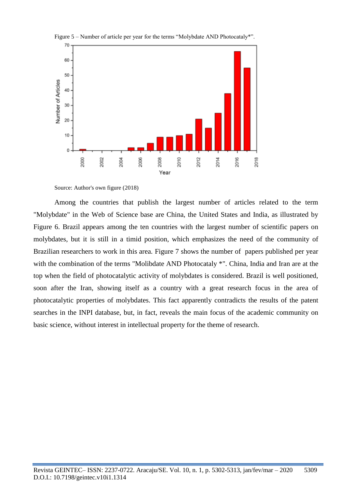



Source: Author's own figure (2018)

Among the countries that publish the largest number of articles related to the term "Molybdate" in the Web of Science base are China, the United States and India, as illustrated by Figure 6. Brazil appears among the ten countries with the largest number of scientific papers on molybdates, but it is still in a timid position, which emphasizes the need of the community of Brazilian researchers to work in this area. Figure 7 shows the number of papers published per year with the combination of the terms "Molibdate AND Photocataly  $*$ ". China, India and Iran are at the top when the field of photocatalytic activity of molybdates is considered. Brazil is well positioned, soon after the Iran, showing itself as a country with a great research focus in the area of photocatalytic properties of molybdates. This fact apparently contradicts the results of the patent searches in the INPI database, but, in fact, reveals the main focus of the academic community on basic science, without interest in intellectual property for the theme of research.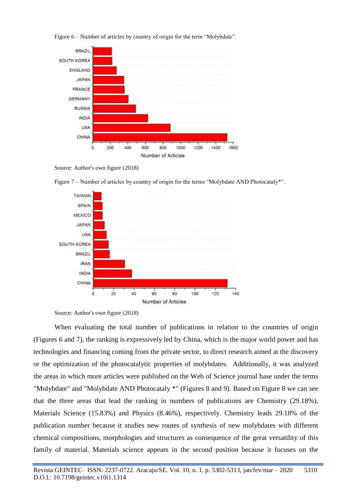

Figure 6 – Number of articles by country of origin for the term "Molybdate".

Source: Author's own figure (2018)



Figure 7 – Number of articles by country of origin for the terms "Molybdate AND Photocataly\*".

When evaluating the total number of publications in relation to the countries of origin (Figures 6 and 7), the ranking is expressively led by China, which is the major world power and has technologies and financing coming from the private sector, to direct research aimed at the discovery or the optimization of the photocatalytic properties of molybdates. Additionally, it was analyzed the areas in which more articles were published on the Web of Science journal base under the terms "Molybdate" and "Molybdate AND Photocataly \*" (Figures 8 and 9). Based on Figure 8 we can see that the three areas that lead the ranking in numbers of publications are Chemistry (29.18%), Materials Science (15.83%) and Physics (8.46%), respectively. Chemistry leads 29.18% of the publication number because it studies new routes of synthesis of new molybdates with different chemical compositions, morphologies and structures as consequence of the great versatility of this family of material. Materials science appears in the second position because it focuses on the

Source: Author's own figure (2018)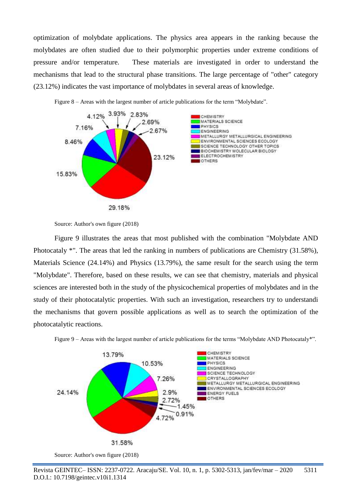optimization of molybdate applications. The physics area appears in the ranking because the molybdates are often studied due to their polymorphic properties under extreme conditions of pressure and/or temperature. These materials are investigated in order to understand the mechanisms that lead to the structural phase transitions. The large percentage of "other" category (23.12%) indicates the vast importance of molybdates in several areas of knowledge.





Figure 9 illustrates the areas that most published with the combination "Molybdate AND Photocataly \*". The areas that led the ranking in numbers of publications are Chemistry (31.58%), Materials Science (24.14%) and Physics (13.79%), the same result for the search using the term "Molybdate". Therefore, based on these results, we can see that chemistry, materials and physical sciences are interested both in the study of the physicochemical properties of molybdates and in the study of their photocatalytic properties. With such an investigation, researchers try to understandi the mechanisms that govern possible applications as well as to search the optimization of the photocatalytic reactions.





Source: Author's own figure (2018)

Source: Author's own figure (2018)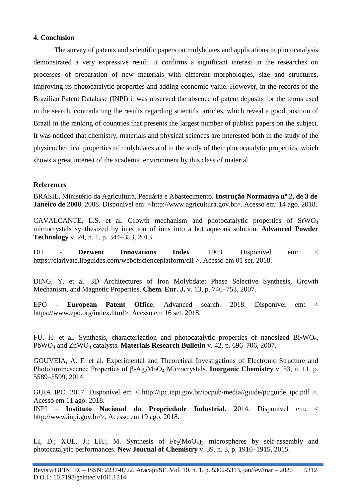### **4. Conclusion**

The survey of patents and scientific papers on molybdates and applications in photocatalysis demonstrated a very expressive result. It confirms a significant interest in the researches on processes of preparation of new materials with different morphologies, size and structures, improving its photocatalytic properties and adding economic value. However, in the records of the Brazilian Patent Database (INPI) it was observed the absence of patent deposits for the terms used in the search, contradicting the results regarding scientific articles, which reveal a good position of Brazil in the ranking of countries that presents the largest number of publish papers on the subject. It was noticed that chemistry, materials and physical sciences are interested both in the study of the physicochemical properties of molybdates and in the study of their photocatalytic properties, which shows a great interest of the academic environment by this class of material.

#### **References**

BRASIL. Ministério da Agricultura, Pecuária e Abastecimento. **Instrução Normativa nº 2, de 3 de Janeiro de 2008.** 2008. Disponível em: <http://www.agricultura.gov.br>. Acesso em: 14 ago. 2018.

CAVALCANTE, L.S. et al. Growth mechanism and photocatalytic properties of  $SrWO<sub>4</sub>$ microcrystals synthesized by injection of ions into a hot aqueous solution. **Advanced Powder Technology** v. 24, n. 1, p. 344–353, 2013.

DII - **Derwent Innovations Index**. 1963. Disponível em: < https://clarivate.libguides.com/webofscienceplatform/dii >. Acesso em 01 set. 2018.

DING, Y. et al. 3D Architectures of Iron Molybdate: Phase Selective Synthesis, Growth Mechanism, and Magnetic Properties. **Chem. Eur. J.** v. 13, p. 746–753, 2007.

EPO - **European Patent Office**: Advanced search. 2018. Disponível em: < https://www.epo.org/index.html>. Acesso em 16 set. 2018.

FU, H. et al. Synthesis, characterization and photocatalytic properties of nanosized  $Bi<sub>2</sub>WO<sub>6</sub>$ , PbWO<sup>4</sup> and ZnWO<sup>4</sup> catalysts. **Materials Research Bulletin** v. 42, p. 696–706, 2007.

GOUVEIA, A. F. et al. Experimental and Theoretical Investigations of Electronic Structure and Photoluminescence Properties of β-Ag<sub>2</sub>MoO<sub>4</sub> Microcrystals. **Inorganic Chemistry** v. 53, n. 11, p. 5589–5599, 2014.

GUIA IPC. 2017. Disponível em < http://ipc.inpi.gov.br/ipcpub/media//guide/pt/guide\_ipc.pdf >. Acesso em 11 ago. 2018.

INPI – **Instituto Nacional da Propriedade Industrial**. 2014. Disponível em: < http://www.inpi.gov.br/>. Acesso em 19 ago. 2018.

LI, D.; XUE, J.; LIU, M. Synthesis of  $Fe<sub>2</sub>(MoO<sub>4</sub>)<sub>3</sub>$  microspheres by self-assembly and photocatalytic performances. **New Journal of Chemistry** v. 39, n. 3, p. 1910–1915, 2015.